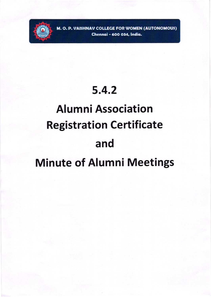

M. O. P. VAISHNAV COLLEGE FOR WOMEN (AUTONOMOUS) Chennai - 600 034, India.

## $5.4.2$

# **Alumni Association Registration Certificate** and

# **Minute of Alumni Meetings**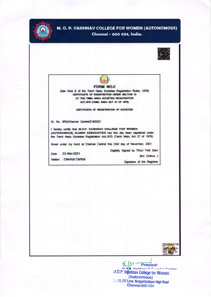

## M. O. P. VAISHNAV COLLEGE FOR WOMEN (AUTONOMOUS)

Chennai - 600 034, India.





K  $131$  Principal 9 *Mainhoon* Collage for Waman M.O.P. Vaishnav College for Women (Autonomous) 20, 20, IV Lane, Nungambakkam High Road Chennai-600 034